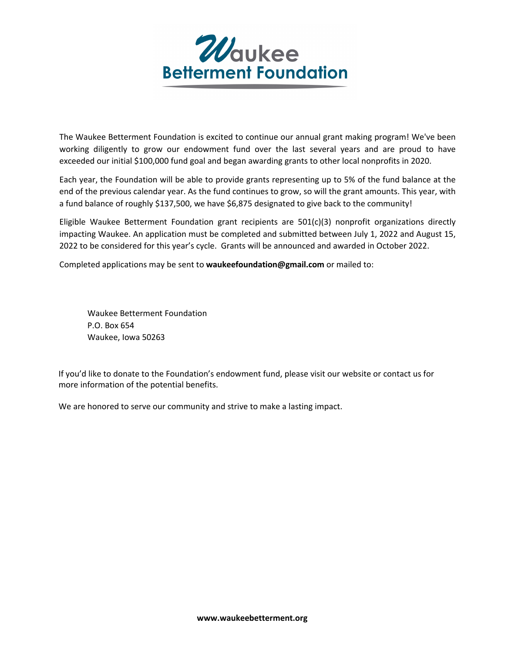

The Waukee Betterment Foundation is excited to continue our annual grant making program! We've been working diligently to grow our endowment fund over the last several years and are proud to have exceeded our initial \$100,000 fund goal and began awarding grants to other local nonprofits in 2020.

Each year, the Foundation will be able to provide grants representing up to 5% of the fund balance at the end of the previous calendar year. As the fund continues to grow, so will the grant amounts. This year, with a fund balance of roughly \$137,500, we have \$6,875 designated to give back to the community!

Eligible Waukee Betterment Foundation grant recipients are 501(c)(3) nonprofit organizations directly impacting Waukee. An application must be completed and submitted between July 1, 2022 and August 15, 2022 to be considered for this year's cycle. Grants will be announced and awarded in October 2022.

Completed applications may be sent to **waukeefoundation@gmail.com** or mailed to:

Waukee Betterment Foundation P.O. Box 654 Waukee, Iowa 50263

If you'd like to donate to the Foundation's endowment fund, please visit our website or contact us for more information of the potential benefits.

We are honored to serve our community and strive to make a lasting impact.